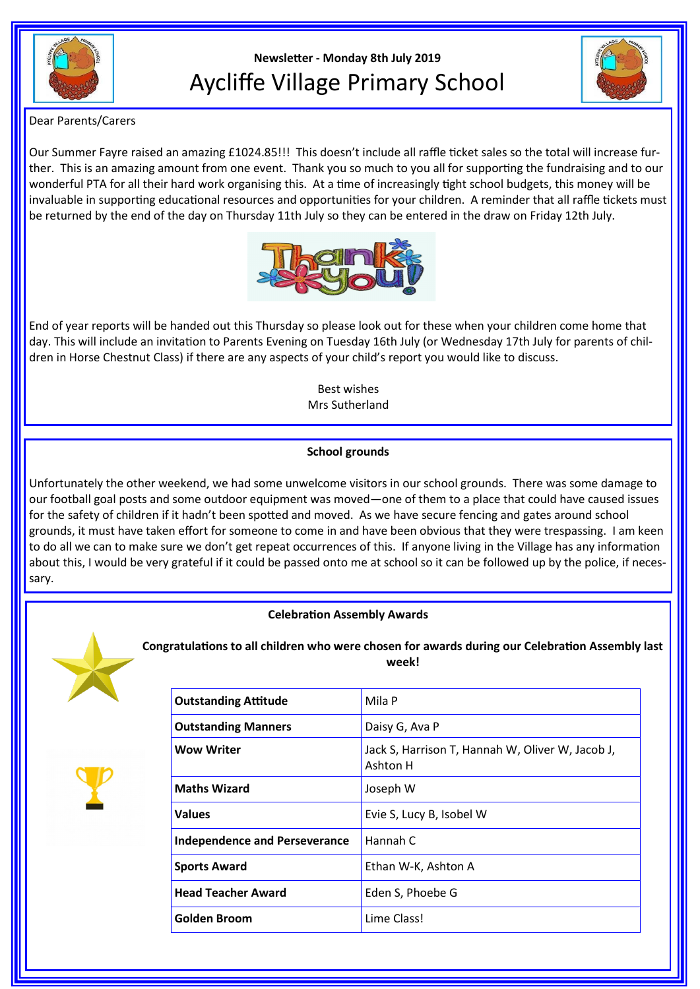

# **Newsletter - Monday 8th July 2019** Aycliffe Village Primary School



Dear Parents/Carers

Our Summer Fayre raised an amazing £1024.85!!! This doesn't include all raffle ticket sales so the total will increase further. This is an amazing amount from one event. Thank you so much to you all for supporting the fundraising and to our wonderful PTA for all their hard work organising this. At a time of increasingly tight school budgets, this money will be invaluable in supporting educational resources and opportunities for your children. A reminder that all raffle tickets must be returned by the end of the day on Thursday 11th July so they can be entered in the draw on Friday 12th July.



End of year reports will be handed out this Thursday so please look out for these when your children come home that day. This will include an invitation to Parents Evening on Tuesday 16th July (or Wednesday 17th July for parents of children in Horse Chestnut Class) if there are any aspects of your child's report you would like to discuss.

> Best wishes Mrs Sutherland

# **School grounds**

Unfortunately the other weekend, we had some unwelcome visitors in our school grounds. There was some damage to our football goal posts and some outdoor equipment was moved—one of them to a place that could have caused issues for the safety of children if it hadn't been spotted and moved. As we have secure fencing and gates around school grounds, it must have taken effort for someone to come in and have been obvious that they were trespassing. I am keen to do all we can to make sure we don't get repeat occurrences of this. If anyone living in the Village has any information about this, I would be very grateful if it could be passed onto me at school so it can be followed up by the police, if necessary.







**Congratulations to all children who were chosen for awards during our Celebration Assembly last week!**

| <b>Outstanding Attitude</b>          | Mila P                                                       |
|--------------------------------------|--------------------------------------------------------------|
| <b>Outstanding Manners</b>           | Daisy G, Ava P                                               |
| Wow Writer                           | Jack S, Harrison T, Hannah W, Oliver W, Jacob J,<br>Ashton H |
| <b>Maths Wizard</b>                  | Joseph W                                                     |
| Values                               | Evie S, Lucy B, Isobel W                                     |
| <b>Independence and Perseverance</b> | Hannah C                                                     |
| <b>Sports Award</b>                  | Ethan W-K, Ashton A                                          |
| <b>Head Teacher Award</b>            | Eden S, Phoebe G                                             |
| Golden Broom                         | Lime Class!                                                  |
|                                      |                                                              |